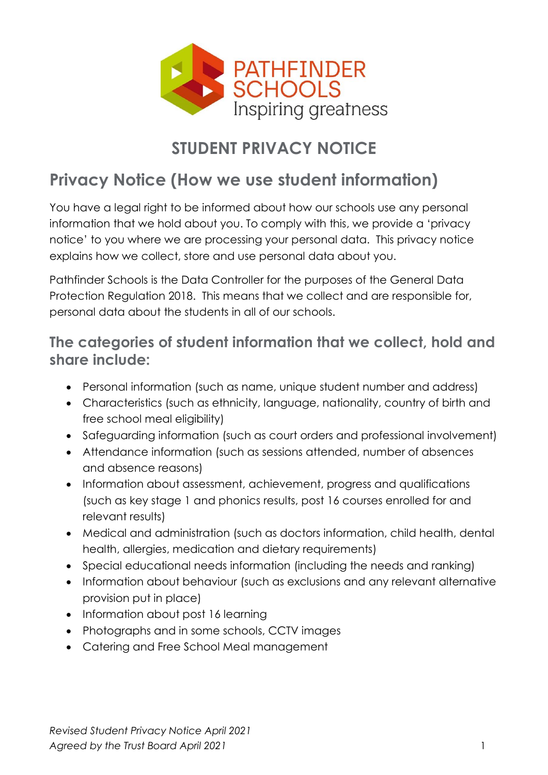

# **STUDENT PRIVACY NOTICE**

# **Privacy Notice (How we use student information)**

You have a legal right to be informed about how our schools use any personal information that we hold about you. To comply with this, we provide a 'privacy notice' to you where we are processing your personal data. This privacy notice explains how we collect, store and use personal data about you.

Pathfinder Schools is the Data Controller for the purposes of the General Data Protection Regulation 2018. This means that we collect and are responsible for, personal data about the students in all of our schools.

### **The categories of student information that we collect, hold and share include:**

- Personal information (such as name, unique student number and address)
- Characteristics (such as ethnicity, language, nationality, country of birth and free school meal eligibility)
- Safeguarding information (such as court orders and professional involvement)
- Attendance information (such as sessions attended, number of absences and absence reasons)
- Information about assessment, achievement, progress and qualifications (such as key stage 1 and phonics results, post 16 courses enrolled for and relevant results)
- Medical and administration (such as doctors information, child health, dental health, allergies, medication and dietary requirements)
- Special educational needs information (including the needs and ranking)
- Information about behaviour (such as exclusions and any relevant alternative provision put in place)
- Information about post 16 learning
- Photographs and in some schools, CCTV images
- Catering and Free School Meal management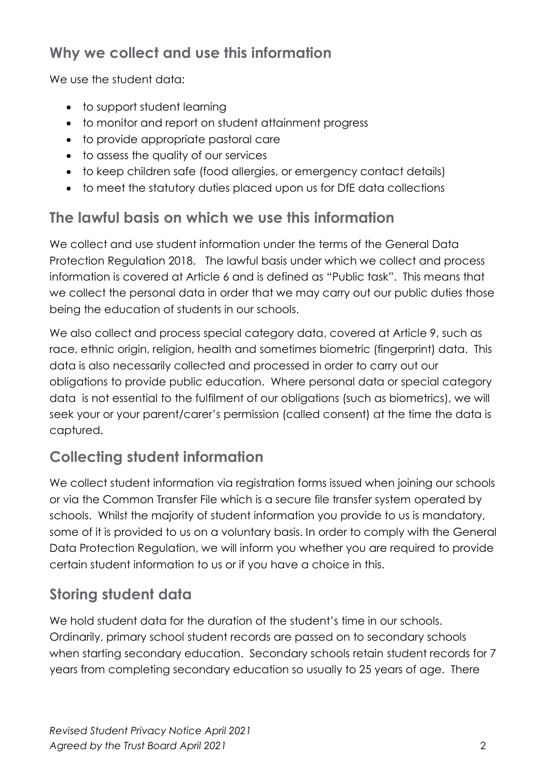## **Why we collect and use this information**

We use the student data:

- to support student learning
- to monitor and report on student attainment progress
- to provide appropriate pastoral care
- to assess the quality of our services
- to keep children safe (food allergies, or emergency contact details)
- to meet the statutory duties placed upon us for DfE data collections

### **The lawful basis on which we use this information**

We collect and use student information under the terms of the General Data Protection Regulation 2018. The lawful basis under which we collect and process information is covered at Article 6 and is defined as "Public task". This means that we collect the personal data in order that we may carry out our public duties those being the education of students in our schools.

We also collect and process special category data, covered at Article 9, such as race, ethnic origin, religion, health and sometimes biometric (fingerprint) data. This data is also necessarily collected and processed in order to carry out our obligations to provide public education. Where personal data or special category data is not essential to the fulfilment of our obligations (such as biometrics), we will seek your or your parent/carer's permission (called consent) at the time the data is captured.

## **Collecting student information**

We collect student information via registration forms issued when joining our schools or via the Common Transfer File which is a secure file transfer system operated by schools. Whilst the majority of student information you provide to us is mandatory, some of it is provided to us on a voluntary basis. In order to comply with the General Data Protection Regulation, we will inform you whether you are required to provide certain student information to us or if you have a choice in this.

## **Storing student data**

We hold student data for the duration of the student's time in our schools. Ordinarily, primary school student records are passed on to secondary schools when starting secondary education. Secondary schools retain student records for 7 years from completing secondary education so usually to 25 years of age. There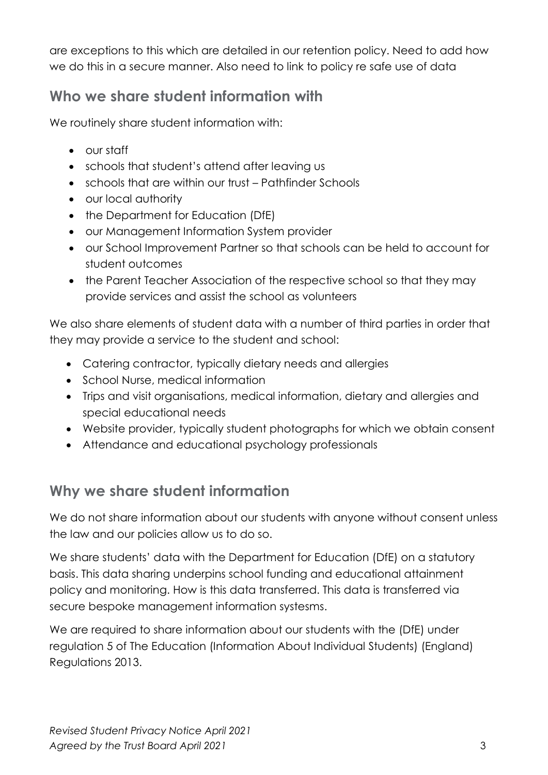are exceptions to this which are detailed in our retention policy. Need to add how we do this in a secure manner. Also need to link to policy re safe use of data

### **Who we share student information with**

We routinely share student information with:

- our staff
- schools that student's attend after leaving us
- schools that are within our trust Pathfinder Schools
- our local authority
- the Department for Education (DfE)
- our Management Information System provider
- our School Improvement Partner so that schools can be held to account for student outcomes
- the Parent Teacher Association of the respective school so that they may provide services and assist the school as volunteers

We also share elements of student data with a number of third parties in order that they may provide a service to the student and school:

- Catering contractor, typically dietary needs and allergies
- School Nurse, medical information
- Trips and visit organisations, medical information, dietary and allergies and special educational needs
- Website provider, typically student photographs for which we obtain consent
- Attendance and educational psychology professionals

# **Why we share student information**

We do not share information about our students with anyone without consent unless the law and our policies allow us to do so.

We share students' data with the Department for Education (DfE) on a statutory basis. This data sharing underpins school funding and educational attainment policy and monitoring. How is this data transferred. This data is transferred via secure bespoke management information systesms.

We are required to share information about our students with the (DfE) under regulation 5 of The Education (Information About Individual Students) (England) Regulations 2013.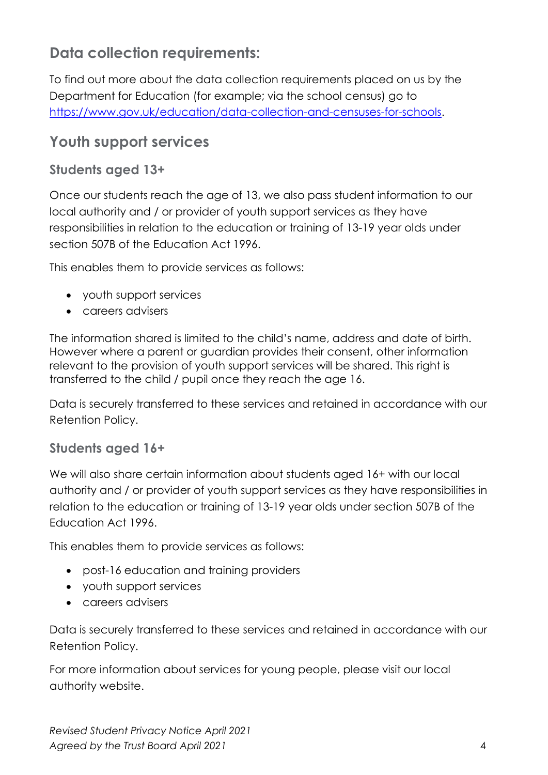## **Data collection requirements:**

To find out more about the data collection requirements placed on us by the Department for Education (for example; via the school census) go to [https://www.gov.uk/education/data-collection-and-censuses-for-schools.](https://www.gov.uk/education/data-collection-and-censuses-for-schools)

#### **Youth support services**

#### **Students aged 13+**

Once our students reach the age of 13, we also pass student information to our local authority and / or provider of youth support services as they have responsibilities in relation to the education or training of 13-19 year olds under section 507B of the Education Act 1996.

This enables them to provide services as follows:

- youth support services
- careers advisers

The information shared is limited to the child's name, address and date of birth. However where a parent or guardian provides their consent, other information relevant to the provision of youth support services will be shared. This right is transferred to the child / pupil once they reach the age 16.

Data is securely transferred to these services and retained in accordance with our Retention Policy.

#### **Students aged 16+**

We will also share certain information about students aged 16+ with our local authority and / or provider of youth support services as they have responsibilities in relation to the education or training of 13-19 year olds under section 507B of the Education Act 1996.

This enables them to provide services as follows:

- post-16 education and training providers
- youth support services
- careers advisers

Data is securely transferred to these services and retained in accordance with our Retention Policy.

For more information about services for young people, please visit our local authority website.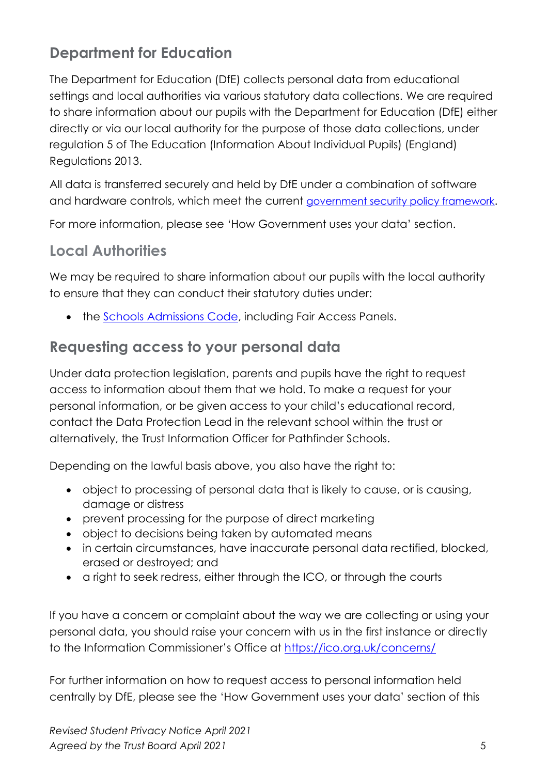## **Department for Education**

The Department for Education (DfE) collects personal data from educational settings and local authorities via various statutory data collections. We are required to share information about our pupils with the Department for Education (DfE) either directly or via our local authority for the purpose of those data collections, under regulation 5 of The Education (Information About Individual Pupils) (England) Regulations 2013.

All data is transferred securely and held by DfE under a combination of software and hardware controls, which meet the current [government security policy framework](https://www.gov.uk/government/publications/security-policy-framework).

For more information, please see 'How Government uses your data' section.

### **Local Authorities**

We may be required to share information about our pupils with the local authority to ensure that they can conduct their statutory duties under:

• the [Schools Admissions Code,](https://www.gov.uk/government/publications/school-admissions-code--2) including Fair Access Panels.

#### **Requesting access to your personal data**

Under data protection legislation, parents and pupils have the right to request access to information about them that we hold. To make a request for your personal information, or be given access to your child's educational record, contact the Data Protection Lead in the relevant school within the trust or alternatively, the Trust Information Officer for Pathfinder Schools.

Depending on the lawful basis above, you also have the right to:

- object to processing of personal data that is likely to cause, or is causing, damage or distress
- prevent processing for the purpose of direct marketing
- object to decisions being taken by automated means
- in certain circumstances, have inaccurate personal data rectified, blocked, erased or destroyed; and
- a right to seek redress, either through the ICO, or through the courts

If you have a concern or complaint about the way we are collecting or using your personal data, you should raise your concern with us in the first instance or directly to the Information Commissioner's Office at <https://ico.org.uk/concerns/>

For further information on how to request access to personal information held centrally by DfE, please see the 'How Government uses your data' section of this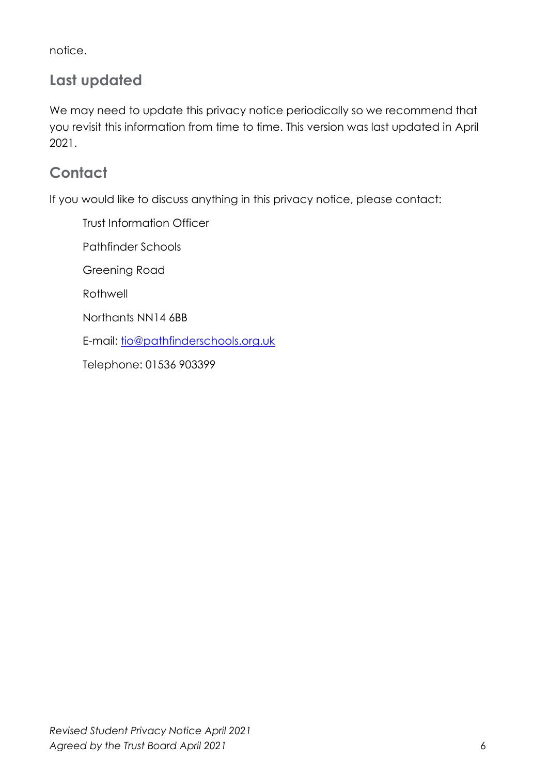notice.

## **Last updated**

We may need to update this privacy notice periodically so we recommend that you revisit this information from time to time. This version was last updated in April 2021.

## **Contact**

If you would like to discuss anything in this privacy notice, please contact:

Trust Information Officer

Pathfinder Schools

Greening Road

**Rothwell** 

Northants NN14 6BB

E-mail: [tio@pathfinderschools.org.uk](mailto:tio@pathfinderschools.org.uk)

Telephone: 01536 903399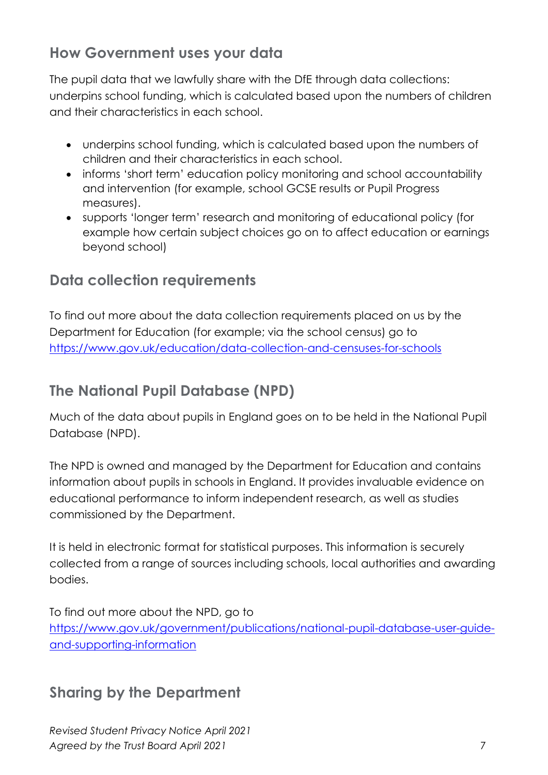### **How Government uses your data**

The pupil data that we lawfully share with the DfE through data collections: underpins school funding, which is calculated based upon the numbers of children and their characteristics in each school.

- underpins school funding, which is calculated based upon the numbers of children and their characteristics in each school.
- informs 'short term' education policy monitoring and school accountability and intervention (for example, school GCSE results or Pupil Progress measures).
- supports 'longer term' research and monitoring of educational policy (for example how certain subject choices go on to affect education or earnings beyond school)

## **Data collection requirements**

To find out more about the data collection requirements placed on us by the Department for Education (for example; via the school census) go to <https://www.gov.uk/education/data-collection-and-censuses-for-schools>

# **The National Pupil Database (NPD)**

Much of the data about pupils in England goes on to be held in the National Pupil Database (NPD).

The NPD is owned and managed by the Department for Education and contains information about pupils in schools in England. It provides invaluable evidence on educational performance to inform independent research, as well as studies commissioned by the Department.

It is held in electronic format for statistical purposes. This information is securely collected from a range of sources including schools, local authorities and awarding bodies.

To find out more about the NPD, go to [https://www.gov.uk/government/publications/national-pupil-database-user-guide](https://www.gov.uk/government/publications/national-pupil-database-user-guide-and-supporting-information)[and-supporting-information](https://www.gov.uk/government/publications/national-pupil-database-user-guide-and-supporting-information)

## **Sharing by the Department**

*Revised Student Privacy Notice April 2021 Agreed by the Trust Board April 2021* 7